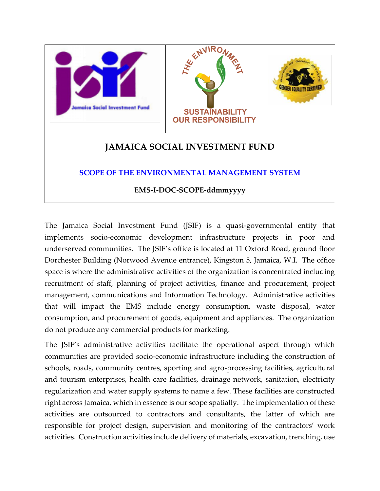

The Jamaica Social Investment Fund (JSIF) is a quasi-governmental entity that implements socio-economic development infrastructure projects in poor and underserved communities. The JSIF's office is located at 11 Oxford Road, ground floor Dorchester Building (Norwood Avenue entrance), Kingston 5, Jamaica, W.I. The office space is where the administrative activities of the organization is concentrated including recruitment of staff, planning of project activities, finance and procurement, project management, communications and Information Technology. Administrative activities that will impact the EMS include energy consumption, waste disposal, water consumption, and procurement of goods, equipment and appliances. The organization do not produce any commercial products for marketing.

The JSIF's administrative activities facilitate the operational aspect through which communities are provided socio-economic infrastructure including the construction of schools, roads, community centres, sporting and agro-processing facilities, agricultural and tourism enterprises, health care facilities, drainage network, sanitation, electricity regularization and water supply systems to name a few. These facilities are constructed right across Jamaica, which in essence is our scope spatially. The implementation of these activities are outsourced to contractors and consultants, the latter of which are responsible for project design, supervision and monitoring of the contractors' work activities. Construction activities include delivery of materials, excavation, trenching, use